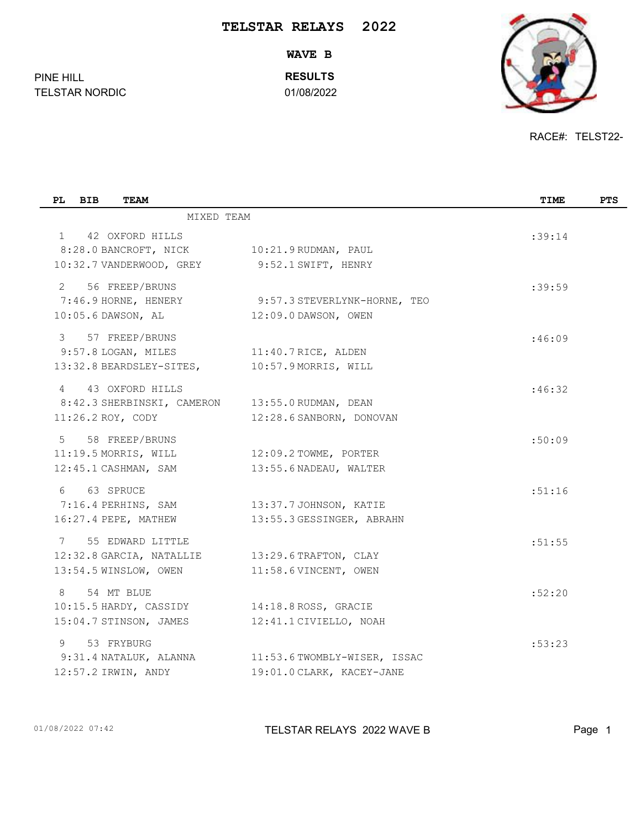**WAVE B**

**RESULTS**

TELSTAR NORDIC 01/08/2022



RACE#: TELST22-

|                           | TIME                                                                                                                                                                                                                                                                                                                                                                                                                                                                                             | <b>PTS</b> |
|---------------------------|--------------------------------------------------------------------------------------------------------------------------------------------------------------------------------------------------------------------------------------------------------------------------------------------------------------------------------------------------------------------------------------------------------------------------------------------------------------------------------------------------|------------|
|                           |                                                                                                                                                                                                                                                                                                                                                                                                                                                                                                  |            |
|                           | :39:14                                                                                                                                                                                                                                                                                                                                                                                                                                                                                           |            |
|                           |                                                                                                                                                                                                                                                                                                                                                                                                                                                                                                  |            |
|                           |                                                                                                                                                                                                                                                                                                                                                                                                                                                                                                  |            |
|                           | :39:59                                                                                                                                                                                                                                                                                                                                                                                                                                                                                           |            |
|                           |                                                                                                                                                                                                                                                                                                                                                                                                                                                                                                  |            |
|                           |                                                                                                                                                                                                                                                                                                                                                                                                                                                                                                  |            |
|                           | :46:09                                                                                                                                                                                                                                                                                                                                                                                                                                                                                           |            |
| 11:40.7 RICE, ALDEN       |                                                                                                                                                                                                                                                                                                                                                                                                                                                                                                  |            |
|                           |                                                                                                                                                                                                                                                                                                                                                                                                                                                                                                  |            |
|                           | :46:32                                                                                                                                                                                                                                                                                                                                                                                                                                                                                           |            |
|                           |                                                                                                                                                                                                                                                                                                                                                                                                                                                                                                  |            |
| 12:28.6 SANBORN, DONOVAN  |                                                                                                                                                                                                                                                                                                                                                                                                                                                                                                  |            |
|                           | :50:09                                                                                                                                                                                                                                                                                                                                                                                                                                                                                           |            |
|                           |                                                                                                                                                                                                                                                                                                                                                                                                                                                                                                  |            |
| 13:55.6 NADEAU, WALTER    |                                                                                                                                                                                                                                                                                                                                                                                                                                                                                                  |            |
|                           | :51:16                                                                                                                                                                                                                                                                                                                                                                                                                                                                                           |            |
|                           |                                                                                                                                                                                                                                                                                                                                                                                                                                                                                                  |            |
| 13:55.3 GESSINGER, ABRAHN |                                                                                                                                                                                                                                                                                                                                                                                                                                                                                                  |            |
|                           | :51:55                                                                                                                                                                                                                                                                                                                                                                                                                                                                                           |            |
| 13:29.6 TRAFTON, CLAY     |                                                                                                                                                                                                                                                                                                                                                                                                                                                                                                  |            |
|                           |                                                                                                                                                                                                                                                                                                                                                                                                                                                                                                  |            |
|                           | :52:20                                                                                                                                                                                                                                                                                                                                                                                                                                                                                           |            |
|                           |                                                                                                                                                                                                                                                                                                                                                                                                                                                                                                  |            |
|                           |                                                                                                                                                                                                                                                                                                                                                                                                                                                                                                  |            |
|                           | :53:23                                                                                                                                                                                                                                                                                                                                                                                                                                                                                           |            |
|                           |                                                                                                                                                                                                                                                                                                                                                                                                                                                                                                  |            |
| 19:01.0 CLARK, KACEY-JANE |                                                                                                                                                                                                                                                                                                                                                                                                                                                                                                  |            |
|                           | MIXED TEAM<br>8:28.0 BANCROFT, NICK 10:21.9 RUDMAN, PAUL<br>10:32.7 VANDERWOOD, GREY 9:52.1 SWIFT, HENRY<br>7:46.9 HORNE, HENERY 9:57.3 STEVERLYNK-HORNE, TEO<br>12:09.0 DAWSON, OWEN<br>$10:57.9$ MORRIS, WILL<br>8:42.3 SHERBINSKI, CAMERON 13:55.0 RUDMAN, DEAN<br>11:19.5 MORRIS, WILL 12:09.2 TOWME, PORTER<br>7:16.4 PERHINS, SAM 13:37.7 JOHNSON, KATIE<br>11:58.6 VINCENT, OWEN<br>14:18.8 ROSS, GRACIE<br>12:41.1 CIVIELLO, NOAH<br>9:31.4 NATALUK, ALANNA 11:53.6 TWOMBLY-WISER, ISSAC |            |

PINE HILL

01/08/2022 07:42 **TELSTAR RELAYS 2022 WAVE B** Page 1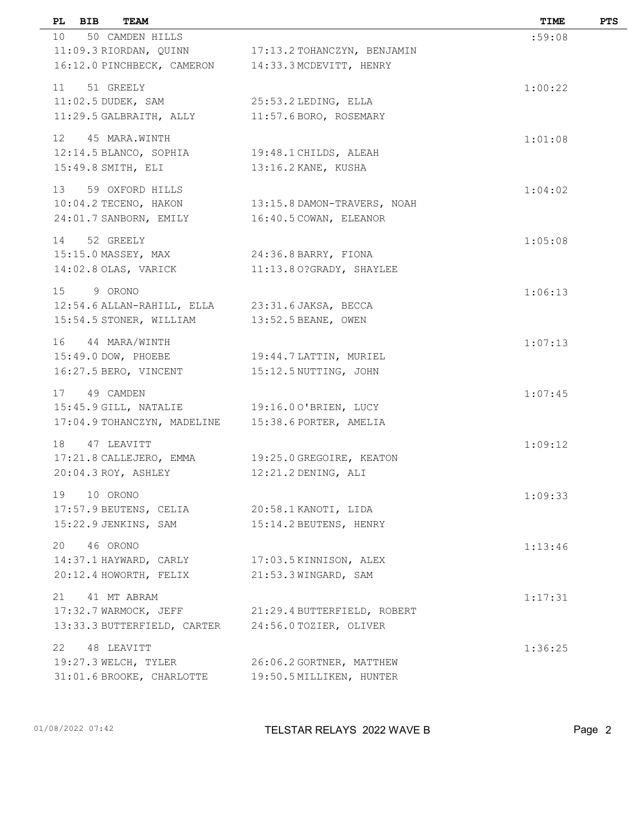| PL BIB<br>TEAM                                     |                             | TIME    | <b>PTS</b> |
|----------------------------------------------------|-----------------------------|---------|------------|
| 10 <sup>1</sup><br>50 CAMDEN HILLS                 |                             | :59:08  |            |
| 11:09.3 RIORDAN, QUINN                             | 17:13.2 TOHANCZYN, BENJAMIN |         |            |
| 16:12.0 PINCHBECK, CAMERON                         | 14:33.3 MCDEVITT, HENRY     |         |            |
| 51 GREELY<br>11                                    |                             | 1:00:22 |            |
| $11:02.5$ DUDEK, SAM                               | 25:53.2 LEDING, ELLA        |         |            |
| 11:29.5 GALBRAITH, ALLY                            | 11:57.6 BORO, ROSEMARY      |         |            |
| 12 45 MARA.WINTH                                   |                             | 1:01:08 |            |
| 12:14.5 BLANCO, SOPHIA                             | 19:48.1 CHILDS, ALEAH       |         |            |
| 15:49.8 SMITH, ELI                                 | 13:16.2 KANE, KUSHA         |         |            |
|                                                    |                             |         |            |
| 13 59 OXFORD HILLS<br>$10:04.2$ TECENO, HAKON      | 13:15.8 DAMON-TRAVERS, NOAH | 1:04:02 |            |
| 24:01.7 SANBORN, EMILY                             | 16:40.5 COWAN, ELEANOR      |         |            |
|                                                    |                             |         |            |
| 52 GREELY<br>14                                    |                             | 1:05:08 |            |
| 15:15.0 MASSEY, MAX                                | 24:36.8 BARRY, FIONA        |         |            |
| 14:02.8 OLAS, VARICK                               | 11:13.80?GRADY, SHAYLEE     |         |            |
| 15<br>9 ORONO                                      |                             | 1:06:13 |            |
| 12:54.6 ALLAN-RAHILL, ELLA 23:31.6 JAKSA, BECCA    |                             |         |            |
| 15:54.5 STONER, WILLIAM                            | 13:52.5 BEANE, OWEN         |         |            |
| 16 44 MARA/WINTH                                   |                             | 1:07:13 |            |
| 15:49.0 DOW, PHOEBE                                | 19:44.7 LATTIN, MURIEL      |         |            |
| 16:27.5 BERO, VINCENT                              | 15:12.5 NUTTING, JOHN       |         |            |
| 17<br>49 CAMDEN                                    |                             | 1:07:45 |            |
| 15:45.9 GILL, NATALIE                              | 19:16.00'BRIEN, LUCY        |         |            |
| 17:04.9 TOHANCZYN, MADELINE                        | 15:38.6 PORTER, AMELIA      |         |            |
| 18<br>47 LEAVITT                                   |                             | 1:09:12 |            |
| 17:21.8 CALLEJERO, EMMA                            | 19:25.0 GREGOIRE, KEATON    |         |            |
| 20:04.3 ROY, ASHLEY                                | $12:21.2$ DENING, ALI       |         |            |
|                                                    |                             |         |            |
| 19<br>10 ORONO<br>17:57.9 BEUTENS, CELIA           | 20:58.1 KANOTI, LIDA        | 1:09:33 |            |
| 15:22.9 JENKINS, SAM                               | 15:14.2 BEUTENS, HENRY      |         |            |
|                                                    |                             |         |            |
| 46 ORONO<br>20                                     |                             | 1:13:46 |            |
| 14:37.1 HAYWARD, CARLY                             | 17:03.5 KINNISON, ALEX      |         |            |
| 20:12.4 HOWORTH, FELIX                             | 21:53.3 WINGARD, SAM        |         |            |
| 41 MT ABRAM<br>21                                  |                             | 1:17:31 |            |
| 17:32.7 WARMOCK, JEFF                              | 21:29.4 BUTTERFIELD, ROBERT |         |            |
| 13:33.3 BUTTERFIELD, CARTER 24:56.0 TOZIER, OLIVER |                             |         |            |
| 22<br>48 LEAVITT                                   |                             | 1:36:25 |            |
| 19:27.3 WELCH, TYLER                               | 26:06.2 GORTNER, MATTHEW    |         |            |
| 31:01.6 BROOKE, CHARLOTTE                          | 19:50.5 MILLIKEN, HUNTER    |         |            |
|                                                    |                             |         |            |

01/08/2022 07:42 **TELSTAR RELAYS 2022 WAVE B** Page 2